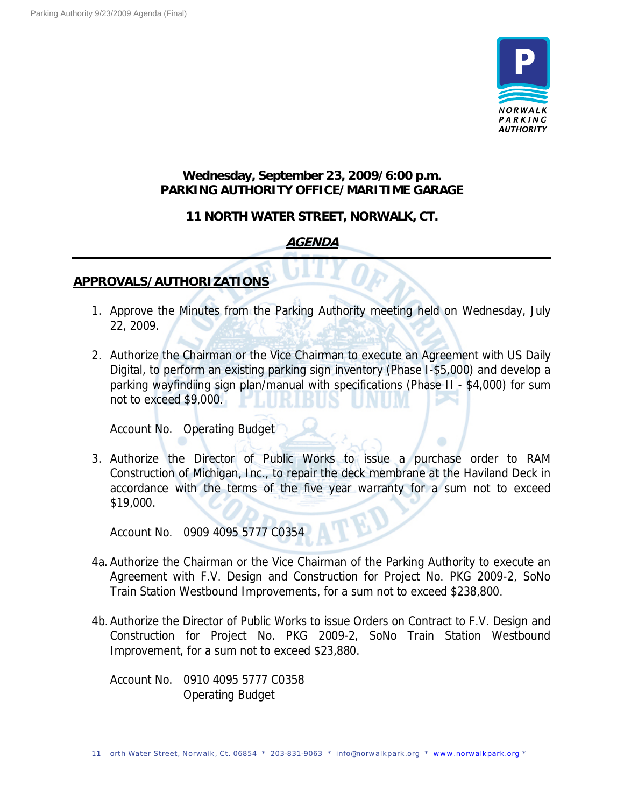

## **Wednesday, September 23, 2009/6:00 p.m. PARKING AUTHORITY OFFICE/MARITIME GARAGE**

### **11 NORTH WATER STREET, NORWALK, CT.**

# **AGENDA**

## **APPROVALS/AUTHORIZATIONS**

- 1. Approve the Minutes from the Parking Authority meeting held on Wednesday, July 22, 2009.
- 2. Authorize the Chairman or the Vice Chairman to execute an Agreement with US Daily Digital, to perform an existing parking sign inventory (Phase I-\$5,000) and develop a parking wayfindiing sign plan/manual with specifications (Phase II - \$4,000) for sum not to exceed \$9,000.

Account No. Operating Budget

3. Authorize the Director of Public Works to issue a purchase order to RAM Construction of Michigan, Inc., to repair the deck membrane at the Haviland Deck in accordance with the terms of the five year warranty for a sum not to exceed \$19,000.

Account No. 0909 4095 5777 C0354

- 4a. Authorize the Chairman or the Vice Chairman of the Parking Authority to execute an Agreement with F.V. Design and Construction for Project No. PKG 2009-2, SoNo Train Station Westbound Improvements, for a sum not to exceed \$238,800.
- 4b.Authorize the Director of Public Works to issue Orders on Contract to F.V. Design and Construction for Project No. PKG 2009-2, SoNo Train Station Westbound Improvement, for a sum not to exceed \$23,880.

Account No. 0910 4095 5777 C0358 Operating Budget